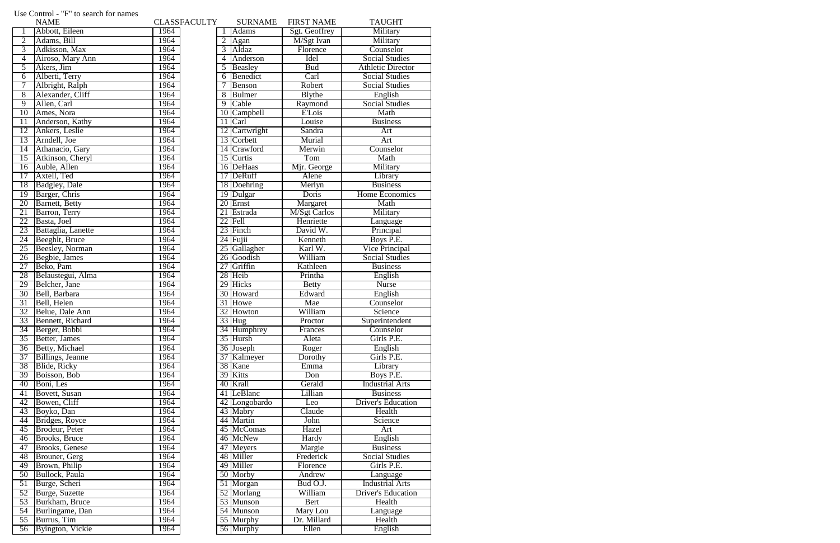| <b>NAME</b>                         |      | <b>CLASSFACULTY</b> | <b>SURNAME</b> | <b>FIRST NAME</b>    | <b>TAUGHT</b>               |
|-------------------------------------|------|---------------------|----------------|----------------------|-----------------------------|
| Abbott, Eileen                      | 1964 |                     | <b>Adams</b>   | Sgt. Geoffrey        | Military                    |
| $\overline{2}$<br>Adams, Bill       | 1964 | 2                   | Agan           | M/Sgt Ivan           | Military                    |
| $\overline{3}$<br>Adkisson, Max     | 1964 | 3                   | Aldaz          | Florence             | Counselor                   |
| Airoso, Mary Ann<br>4               | 1964 | $\overline{4}$      | Anderson       | <b>Idel</b>          | <b>Social Studies</b>       |
| Akers, Jim<br>5                     | 1964 | 5                   | Beasley        | <b>Bud</b>           | <b>Athletic Director</b>    |
| Alberti, Terry<br>6                 | 1964 | 6                   | Benedict       | Carl                 | <b>Social Studies</b>       |
| Albright, Ralph<br>7                | 1964 |                     | <b>Benson</b>  | Robert               | <b>Social Studies</b>       |
| $\overline{8}$<br>Alexander, Cliff  | 1964 | 8                   | Bulmer         | <b>Blythe</b>        | English                     |
| $\overline{9}$<br>Allen, Carl       | 1964 | 9                   | Cable          | Raymond              | <b>Social Studies</b>       |
| Ames, Nora<br>10                    | 1964 |                     | 10 Campbell    | <b>E'Lois</b>        | Math                        |
| Anderson, Kathy<br>11               | 1964 |                     | $11$ Carl      | Louise               | <b>Business</b>             |
| Ankers, Leslie<br>12                | 1964 |                     | 12 Cartwright  | Sandra               | Art                         |
| Arndell, Joe<br>13                  | 1964 |                     | 13 Corbett     | Murial               | Art                         |
| Athanacio, Gary<br>$\overline{14}$  | 1964 |                     | 14 Crawford    | Merwin               | Counselor                   |
| Atkinson, Cheryl<br>$\overline{15}$ | 1964 |                     | 15 Curtis      | Tom                  | Math                        |
| Auble, Allen<br>16                  | 1964 |                     | 16 DeHaas      | Mjr. George          | Military                    |
| Axtell, Ted<br>17                   | 1964 |                     | 17 DeRuff      | Alene                | Library                     |
| <b>Badgley</b> , Dale<br>18         | 1964 |                     | 18 Doehring    | Merlyn               | <b>Business</b>             |
| Barger, Chris<br>19                 | 1964 |                     | 19 Dulgar      | Doris                | Home Economics              |
| <b>Barnett</b> , Betty<br>20        | 1964 |                     | 20 Ernst       | Margaret             | Math                        |
| 21<br>Barron, Terry                 | 1964 |                     | 21 Estrada     | <b>M</b> /Sgt Carlos | Military                    |
| Basta, Joel<br>22                   | 1964 |                     | 22 Fell        | Henriette            | Language                    |
| 23<br>Battaglia, Lanette            | 1964 |                     | 23 Finch       | David W.             | Principal                   |
| 24<br>Beeghlt, Bruce                | 1964 |                     | $24$ Fujii     | Kenneth              | Boys P.E.                   |
| 25<br><b>Beesley</b> , Norman       | 1964 |                     | 25 Gallagher   | Karl W.              | Vice Principal              |
| 26<br>Begbie, James                 | 1964 |                     | 26 Goodish     | William              | <b>Social Studies</b>       |
| Beko, Pam<br>$\overline{27}$        | 1964 |                     | 27 Griffin     | Kathleen             | <b>Business</b>             |
| Belaustegui, Alma<br>28             | 1964 |                     | 28 Heib        | Printha              | English                     |
| Belcher, Jane<br>29                 | 1964 |                     | 29 Hicks       | <b>Betty</b>         | <b>Nurse</b>                |
| $\overline{30}$<br>Bell, Barbara    | 1964 |                     | 30 Howard      | Edward               | English                     |
| 31<br>Bell, Helen                   | 1964 |                     | 31 Howe        | Mae                  | Counselor                   |
| 32<br>Belue, Dale Ann               | 1964 |                     | 32 Howton      | William              | Science                     |
| 33<br>Bennett, Richard              | 1964 |                     | $33$ Hug       |                      |                             |
| Berger, Bobbi<br>$\overline{34}$    | 1964 |                     |                | Proctor              | Superintendent<br>Counselor |
| Better, James<br>$\overline{35}$    | 1964 |                     | 34 Humphrey    | Frances<br>Aleta     | Girls P.E.                  |
|                                     |      |                     | 35 Hursh       |                      |                             |
| Betty, Michael<br>$\overline{36}$   | 1964 |                     | 36 Joseph      | Roger                | English                     |
| Billings, Jeanne<br>37              | 1964 |                     | 37 Kalmeyer    | Dorothy              | Girls P.E.                  |
| Blide, Ricky<br>38                  | 1964 |                     | 38 Kane        | Emma                 | Library                     |
| 39<br>Boisson, Bob                  | 1964 |                     | 39 Kitts       | Don                  | Boys P.E.                   |
| 40<br>Boni, Les                     | 1964 |                     | 40 Krall       | Gerald               | <b>Industrial Arts</b>      |
| <b>Bovett</b> , Susan<br>41         | 1964 |                     | 41 LeBlanc     | Lillian              | <b>Business</b>             |
| Bowen, Cliff<br>42                  | 1964 |                     | 42 Longobardo  | Leo                  | <b>Driver's Education</b>   |
| Boyko, Dan<br>43                    | 1964 |                     | 43 Mabry       | Claude               | Health                      |
| Bridges, Royce<br>44                | 1964 |                     | 44 Martin      | John                 | Science                     |
| Brodeur, Peter<br>45                | 1964 |                     | 45 McComas     | Hazel                | Art                         |
| <b>Brooks</b> , Bruce<br>46         | 1964 |                     | 46 McNew       | Hardy                | English                     |
| <b>Brooks</b> , Genese<br>47        | 1964 |                     | 47 Meyers      | Margie               | <b>Business</b>             |
| 48<br>Brouner, Gerg                 | 1964 |                     | 48 Miller      | Frederick            | <b>Social Studies</b>       |
| Brown, Philip<br>49                 | 1964 |                     | 49 Miller      | Florence             | Girls P.E.                  |
| Bullock, Paula<br>$\overline{50}$   | 1964 |                     | 50 Morby       | Andrew               | Language                    |
| Burge, Scheri<br>$\overline{51}$    | 1964 |                     | 51 Morgan      | Bud O.J.             | <b>Industrial Arts</b>      |
| Burge, Suzette<br>52                | 1964 |                     | 52 Morlang     | William              | <b>Driver's Education</b>   |
| 53<br>Burkham, Bruce                | 1964 |                     | 53 Munson      | Bert                 | Health                      |
| 54<br>Burlingame, Dan               | 1964 |                     | 54 Munson      | Mary Lou             | Language                    |
| $\overline{55}$<br>Burrus, Tim      | 1964 |                     | 55 Murphy      | Dr. Millard          | Health                      |
| Byington, Vickie<br>$\overline{56}$ | 1964 |                     | 56 Murphy      | Ellen                | English                     |

## Use Control - "F" to search for names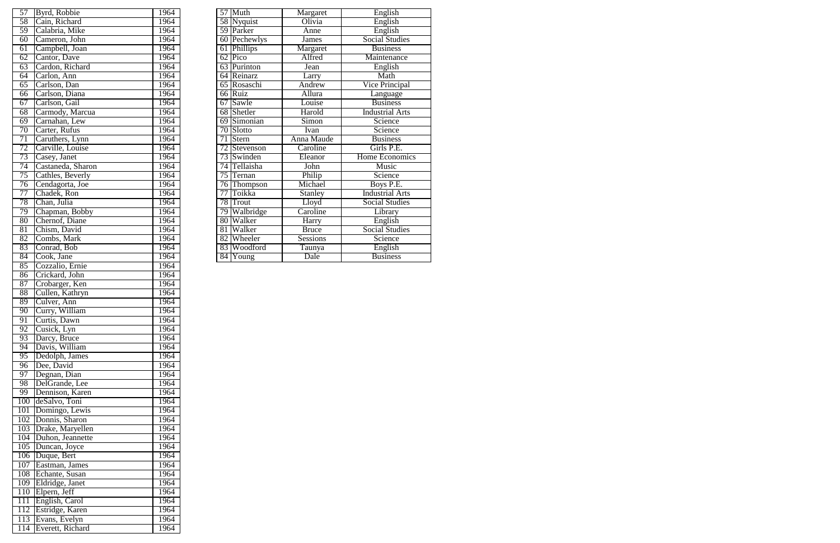| 57              | Byrd, Robbie      | 1964 | 57              | Muth         | Margaret        | English                |
|-----------------|-------------------|------|-----------------|--------------|-----------------|------------------------|
| 58              | Cain, Richard     | 1964 |                 | 58 Nyquist   | Olivia          | English                |
| 59              | Calabria, Mike    | 1964 |                 | 59 Parker    | Anne            | English                |
| 60              | Cameron, John     | 1964 |                 | 60 Pechewlys | <b>James</b>    | <b>Social Studies</b>  |
| $\overline{61}$ | Campbell, Joan    | 1964 |                 | 61 Phillips  | Margaret        | <b>Business</b>        |
| $\overline{62}$ | Cantor, Dave      | 1964 |                 | $62$ Pico    | Alfred          | Maintenance            |
| $\overline{63}$ | Cardon, Richard   | 1964 |                 | 63 Purinton  | Jean            | English                |
| 64              | Carlon, Ann       | 1964 |                 | 64 Reinarz   | Larry           | Math                   |
| 65              | Carlson, Dan      | 1964 |                 | 65 Rosaschi  | Andrew          | Vice Principal         |
| 66              | Carlson, Diana    | 1964 |                 | 66 Ruiz      | Allura          | Language               |
| 67              | Carlson, Gail     | 1964 |                 | 67 Sawle     | Louise          | <b>Business</b>        |
| 68              | Carmody, Marcua   | 1964 | 68              | Shetler      | Harold          | <b>Industrial Arts</b> |
| 69              | Carnahan, Lew     | 1964 |                 | 69 Simonian  | Simon           | Science                |
| 70              | Carter, Rufus     | 1964 |                 | 70 Slotto    | Ivan            | Science                |
| $\overline{71}$ | Caruthers, Lynn   | 1964 |                 | Stern        | Anna Maude      | <b>Business</b>        |
| $\overline{72}$ | Carville, Louise  | 1964 | 72              | Stevenson    | Caroline        | Girls P.E.             |
| 73              | Casey, Janet      | 1964 | 73              | Swinden      | Eleanor         | Home Economics         |
| 74              | Castaneda, Sharon | 1964 | $\overline{74}$ | Tellaisha    | John            | <b>Music</b>           |
| 75              | Cathles, Beverly  | 1964 | 75              | Ternan       | Philip          | Science                |
| 76              | Cendagorta, Joe   | 1964 | 76              | Thompson     | Michael         | Boys P.E.              |
| $\overline{77}$ | Chadek, Ron       | 1964 |                 | Toikka       | <b>Stanley</b>  | <b>Industrial Arts</b> |
| 78              | Chan, Julia       | 1964 | 78              | Trout        | Lloyd           | <b>Social Studies</b>  |
| 79              | Chapman, Bobby    | 1964 | 79              | Walbridge    | Caroline        | Library                |
| $\overline{80}$ | Chernof, Diane    | 1964 | 80              | Walker       | <b>Harry</b>    | English                |
| $\overline{81}$ | Chism, David      | 1964 | 81              | Walker       | <b>Bruce</b>    | <b>Social Studies</b>  |
| 82              | Combs, Mark       | 1964 | 82              | Wheeler      | <b>Sessions</b> | Science                |
| 83              | Conrad, Bob       | 1964 | 83              | Woodford     | Taunya          | English                |
| 84              | Cook, Jane        | 1964 |                 | 84 Young     | Dale            | <b>Business</b>        |
|                 |                   |      |                 |              |                 |                        |

| 57               | Byrd, Robbie                   | 1964         |
|------------------|--------------------------------|--------------|
| 58               | Cain, Richard                  | 1964         |
| 59               | Calabria, Mike                 | 1964         |
| 60               | Cameron, John                  | 1964         |
| 61               | Campbell, Joan                 | 1964         |
| 62               | Cantor, Dave                   | 1964         |
| 63               | Cardon, Richard                | 1964         |
| 64               | Carlon, Ann                    | 1964         |
| 65               | Carlson, Dan                   | 1964         |
| 66               | Carlson, Diana                 | 1964         |
| 67               | Carlson, Gail                  | 1964         |
| 68               | Carmody, Marcua                | 1964         |
| 69               | Carnahan, Lew                  | 1964         |
| $\overline{70}$  | Carter, Rufus                  | 1964         |
| $\overline{71}$  | Caruthers, Lynn                | 1964         |
| $\overline{72}$  | Carville, Louise               | 1964         |
| 73               | Casey, Janet                   | 1964         |
| 74               | Castaneda, Sharon              | 1964         |
| 75               | Cathles, Beverly               | 1964         |
| 76               | Cendagorta, Joe                | 1964         |
| 77               | Chadek, Ron                    | 1964         |
| 78               | Chan, Julia                    | 1964         |
| 79               | Chapman, Bobby                 | 1964         |
| 80               | Chernof, Diane                 | 1964         |
| 81               | Chism, David                   | 1964         |
| $\overline{82}$  | Combs, Mark                    | 1964         |
| 83               | Conrad, Bob                    | 1964         |
| 84               | Cook, Jane                     | 1964         |
| 85               | Cozzalio, Ernie                | 1964         |
| 86               | Crickard, John                 | 1964         |
| 87               | Crobarger, Ken                 | 1964         |
| 88<br>89         | Cullen, Kathryn<br>Culver, Ann | 1964<br>1964 |
| $\overline{90}$  | Curry, William                 | 1964         |
| 91               | Curtis, Dawn                   | 1964         |
| 92               | Cusick, Lyn                    | 1964         |
| 93               | Darcy, Bruce                   | 1964         |
| 94               | Davis, William                 | 1964         |
| 95               | Dedolph, James                 | 1964         |
| 96               | Dee, David                     | 1964         |
| 97               | Degnan, Dian                   | 1964         |
| 98               | DelGrande, Lee                 | 1964         |
| 99               | Dennison, Karen                | 1964         |
| 100              | deSalvo, Toni                  | 1964         |
| 101              | Domingo, Lewis                 | 1964         |
| 102              | Donnis, Sharon                 | 1964         |
| $1\overline{03}$ | Drake, Maryellen               | 1964         |
| 104              | Duhon, Jeannette               | 1964         |
| 105              | Duncan, Joyce                  | 1964         |
| 106              | Duque, Bert                    | 1964         |
| 107              | Eastman, James                 | 1964         |
| 108              | Echante, Susan                 | 1964         |
| 109              | Eldridge, Janet                | 1964         |
| 110              | Elpern, Jeff                   | 1964         |
| $\overline{111}$ | English, Carol                 | 1964         |
| 112              | Estridge, Karen                | 1964         |
| 113              | Evans, Evelyn                  | 1964         |
| 114              | Everett, Richard               | 1964         |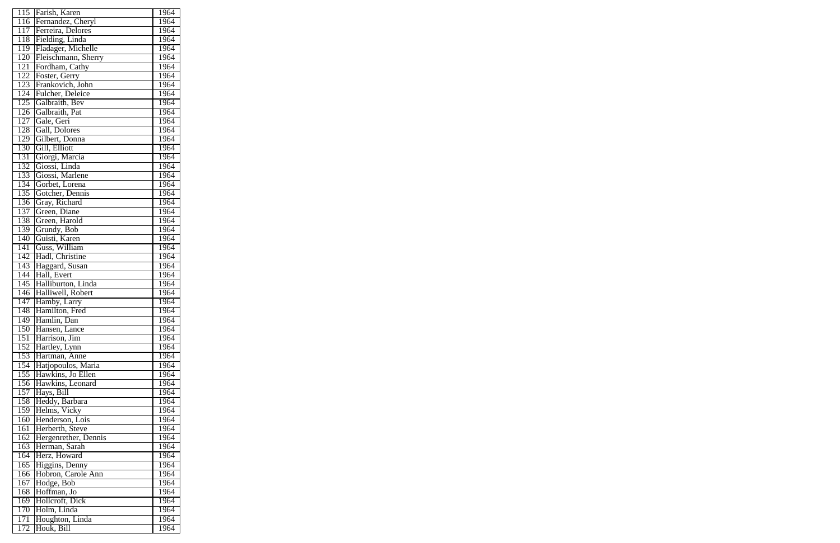| 115              | Farish, Karen        | 1964 |
|------------------|----------------------|------|
| 116              | Fernandez, Cheryl    | 1964 |
| 117              | Ferreira, Delores    | 1964 |
| 118              | Fielding, Linda      | 1964 |
| 119              | Fladager, Michelle   | 1964 |
| 120              | Fleischmann, Sherry  | 1964 |
| $1\overline{21}$ | Fordham, Cathy       | 1964 |
| 122              | Foster, Gerry        | 1964 |
| 123              | Frankovich, John     | 1964 |
| 124              | Fulcher, Deleice     | 1964 |
| 125              | Galbraith, Bev       | 1964 |
| $1\overline{26}$ | Galbraith, Pat       | 1964 |
| 127              | Gale, Geri           | 1964 |
| 128              | Gall, Dolores        | 1964 |
| 129              | Gilbert, Donna       | 1964 |
| 130              | Gill, Elliott        | 1964 |
| 131              | Giorgi, Marcia       | 1964 |
| 132              | Giossi, Linda        | 1964 |
| 133              |                      | 1964 |
|                  | Giossi, Marlene      |      |
| 134              | Gorbet, Lorena       | 1964 |
| 135              | Gotcher, Dennis      | 1964 |
| 136              | Gray, Richard        | 1964 |
| 137              | Green, Diane         | 1964 |
| 138              | Green, Harold        | 1964 |
| 139              | Grundy, Bob          | 1964 |
| 140              | Guisti, Karen        | 1964 |
| 141              | Guss, William        | 1964 |
| 142              | Hadl, Christine      | 1964 |
| 143              | Haggard, Susan       | 1964 |
| 144              | Hall, Evert          | 1964 |
| 145              | Halliburton, Linda   | 1964 |
| 146              | Halliwell, Robert    | 1964 |
| 147              | Hamby, Larry         | 1964 |
| $\overline{148}$ | Hamilton, Fred       | 1964 |
| $\overline{149}$ | Hamlin, Dan          | 1964 |
| 150              | Hansen, Lance        | 1964 |
| $15\overline{1}$ | Harrison, Jim        | 1964 |
| 152              | Hartley, Lynn        | 1964 |
| 153              | Hartman, Anne        | 1964 |
| 154              | Hatjopoulos, Maria   | 1964 |
| $1\overline{55}$ | Hawkins, Jo Ellen    | 1964 |
| $1\overline{56}$ | Hawkins, Leonard     | 1964 |
| 157              | Hays, Bill           | 1964 |
| 158              | Heddy, Barbara       | 1964 |
| 159              | Helms, Vicky         | 1964 |
| 160              | Henderson, Lois      | 1964 |
| 161              | Herberth, Steve      | 1964 |
| 162              | Hergenrether, Dennis | 1964 |
| 163              | Herman, Sarah        | 1964 |
| 164              | Herz, Howard         | 1964 |
| 165              | Higgins, Denny       | 1964 |
| 166              | Hobron, Carole Ann   | 1964 |
| 167              | Hodge, Bob           | 1964 |
| 168              | Hoffman, Jo          | 1964 |
| 169              | Hollcroft, Dick      | 1964 |
| 170              | Holm, Linda          | 1964 |
| 171              | Houghton, Linda      | 1964 |
| 172              | Houk, Bill           | 1964 |
|                  |                      |      |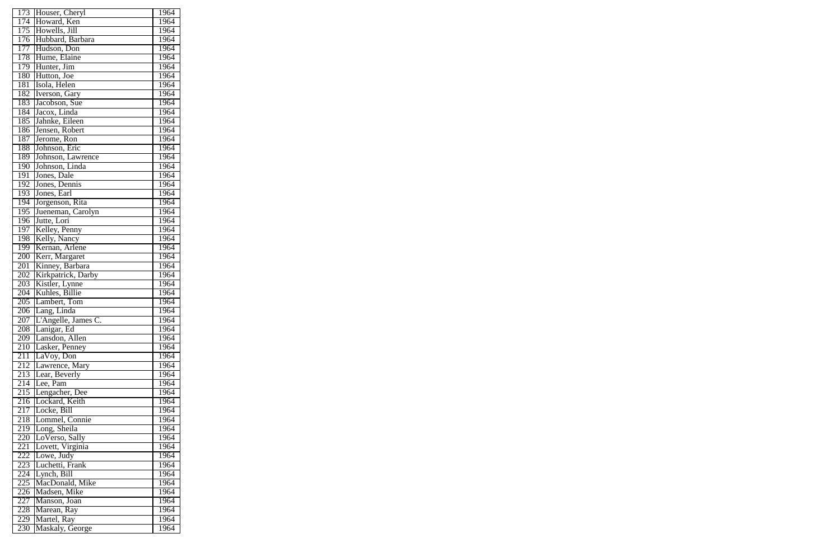| 173                     | Houser, Cheryl                     | 1964         |
|-------------------------|------------------------------------|--------------|
| 174                     | Howard, Ken                        | 1964         |
| 175                     | Howells, Jill                      | 1964         |
| 176                     | Hubbard, Barbara                   | 1964         |
| 177                     | Hudson, Don                        | 1964         |
| 178                     | Hume, Elaine                       | 1964         |
| 179                     | Hunter, Jim                        | 1964         |
| 180                     | Hutton, Joe                        | 1964         |
| 181                     | Isola, Helen                       | 1964         |
| 182                     | Iverson, Gary                      | 1964         |
| 183                     | Jacobson, Sue                      | 1964         |
| 184                     | Jacox, Linda                       | 1964         |
| 185                     | Jahnke, Eileen                     | 1964         |
| 186                     | Jensen, Robert                     | 1964         |
| 187                     | Jerome, Ron                        | 1964         |
| 188                     | Johnson, Eric                      | 1964         |
| 189                     | Johnson, Lawrence                  | 1964         |
| 190                     | Johnson, Linda                     | 1964         |
| 191                     | Jones, Dale                        | 1964         |
| 192                     | Jones, Dennis                      | 1964         |
| 193                     | Jones, Earl                        | 1964         |
| 194                     | Jorgenson, Rita                    | 1964         |
| 195                     | Jueneman, Carolyn                  | 1964         |
| 196                     | Jutte, Lori                        | 1964         |
| 197                     | Kelley, Penny                      | 1964         |
| 198                     | Kelly, Nancy                       | 1964         |
| 199                     | Kernan, Arlene                     | 1964         |
| 200                     | Kerr, Margaret                     | 1964         |
| 201                     | Kinney, Barbara                    | 1964         |
| 202                     | Kirkpatrick, Darby                 | 1964         |
| 203                     |                                    | 1964         |
| 204                     | Kistler, Lynne<br>Kuhles, Billie   | 1964         |
| 205                     | Lambert, Tom                       | 1964         |
|                         |                                    | 1964         |
| 206<br>$\overline{207}$ | Lang, Linda<br>L'Angelle, James C. | 1964         |
| 208                     |                                    | 1964         |
|                         | Lanigar, Ed                        |              |
| 209                     | Lansdon, Allen                     | 1964         |
| 210                     | Lasker, Penney                     | 1964         |
| 211                     | LaVoy, Don                         | 1964<br>1964 |
| 212                     | Lawrence, Mary<br>Lear, Beverly    |              |
| 213                     | Lee, Pam                           | 1964<br>1964 |
| 214                     |                                    |              |
| 215                     | Lengacher, Dee                     | 1964         |
| 216                     | Lockard, Keith                     | 1964         |
| 217                     | Locke, Bill                        | 1964         |
| 218                     | Lommel, Connie                     | 1964         |
| 219                     | Long, Sheila                       | 1964         |
| 220                     | LoVerso, Sally                     | 1964         |
| 221                     | Lovett, Virginia                   | 1964         |
| 222                     | Lowe, Judy                         | 1964         |
| 223                     | Luchetti, Frank                    | 1964         |
| 224                     | Lynch, Bill                        | 1964         |
| 225                     | MacDonald, Mike                    | 1964         |
| 226                     | Madsen, Mike                       | 1964         |
| 227                     | Manson, Joan                       | 1964         |
| 228                     | Marean, Ray                        | 1964         |
| 229                     | Martel, Ray                        | 1964         |
| 230                     | Maskaly, George                    | 1964         |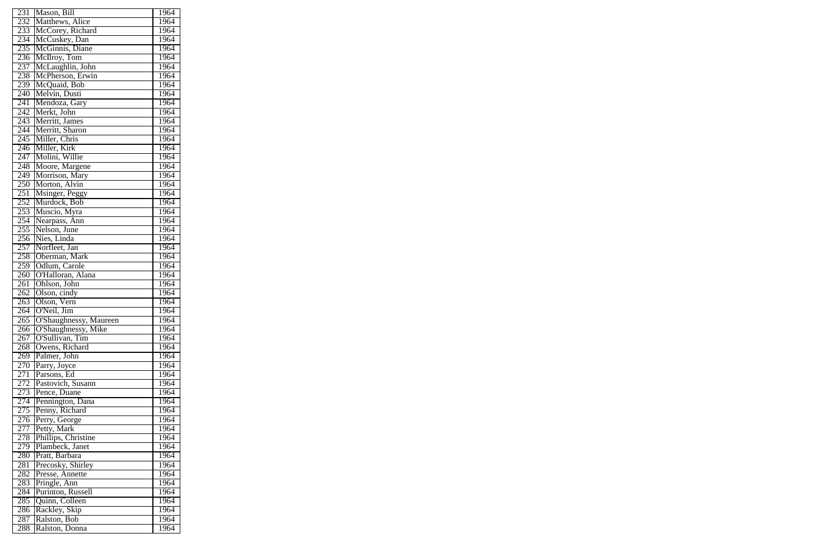| 231              | Mason, Bill                    | 1964 |
|------------------|--------------------------------|------|
| 232              | Matthews, Alice                | 1964 |
| 233              | McCorey, Richard               | 1964 |
| 234              | McCuskey, Dan                  | 1964 |
| 235              | McGinnis, Diane                | 1964 |
| 236              | McIlroy, Tom                   | 1964 |
| 237              | McLaughlin, John               | 1964 |
| 238              | McPherson, Erwin               | 1964 |
| 239              | McQuaid, Bob                   | 1964 |
| 240              | Melvin, Dusti                  | 1964 |
| 241              | Mendoza, Gary                  | 1964 |
| 242              | Merkt, John                    | 1964 |
| 243              | Merritt, James                 | 1964 |
| 244              | Merritt, Sharon                | 1964 |
| 245              | Miller, Chris                  | 1964 |
| 246              |                                | 1964 |
| $24\overline{7}$ | Miller, Kirk<br>Molini, Willie | 1964 |
| 248              | Moore, Margene                 | 1964 |
| 249              | Morrison, Mary                 | 1964 |
| 250              | Morton, Alvin                  | 1964 |
|                  |                                |      |
| 251<br>252       | Msinger, Peggy<br>Murdock, Bob | 1964 |
|                  |                                | 1964 |
| 253              | Muscio, Myra                   | 1964 |
| 254              | Nearpass, Ann                  | 1964 |
| 255              | Nelson, June                   | 1964 |
| 256              | Nies, Linda                    | 1964 |
| 257              | Norfleet, Jan                  | 1964 |
| 258              | Oberman, Mark                  | 1964 |
| 259              | Odlum, Carole                  | 1964 |
| 260              | O'Halloran, Alana              | 1964 |
| 261              | Ohlson, John                   | 1964 |
| 262              | Olson, cindy                   | 1964 |
| 263              | Olson, Vern                    | 1964 |
| 264              | O'Neil, Jim                    | 1964 |
| $\overline{265}$ | O'Shaughnessy, Maureen         | 1964 |
| 266              | O'Shaughnessy, Mike            | 1964 |
| 267              | O'Sullivan, Tim                | 1964 |
| 268              | Owens, Richard                 | 1964 |
| 269              | Palmer, John                   | 1964 |
| 270              | Parry, Joyce                   | 1964 |
| 271              | Parsons, Ed                    | 1964 |
| 272              | Pastovich, Susann              | 1964 |
| 273              | Pence, Duane                   | 1964 |
| $\overline{274}$ | Pennington, Dana               | 1964 |
| 275              | Penny, Richard                 | 1964 |
| 276              | Perry, George                  | 1964 |
| 277              | Petty, Mark                    | 1964 |
| 278              | Phillips, Christine            | 1964 |
| 279              | Plambeck, Janet                | 1964 |
| 280              | Pratt, Barbara                 | 1964 |
| 281              | Precosky, Shirley              | 1964 |
| 282              | Presse, Annette                | 1964 |
| 283              | Pringle, Ann                   | 1964 |
| 284              | Purinton, Russell              | 1964 |
| 285              | Quinn, Colleen                 | 1964 |
| 286              | Rackley, Skip                  | 1964 |
| 287              | Ralston, Bob                   | 1964 |
| 288              | Ralston, Donna                 | 1964 |
|                  |                                |      |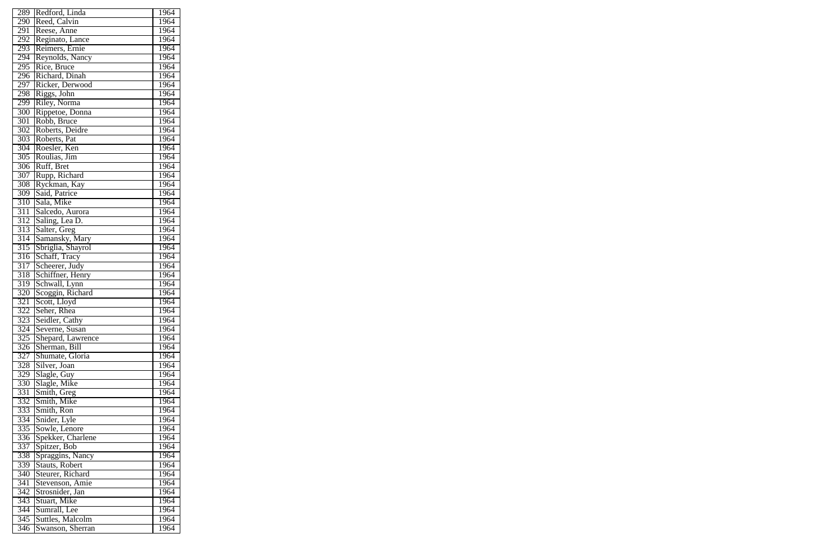| 289              | Redford, Linda    | 1964 |
|------------------|-------------------|------|
| 290              | Reed, Calvin      | 1964 |
| 291              | Reese, Anne       | 1964 |
| 292              | Reginato, Lance   | 1964 |
| 293              | Reimers, Ernie    | 1964 |
| 294              | Reynolds, Nancy   | 1964 |
| 295              | Rice, Bruce       | 1964 |
| 296              | Richard, Dinah    | 1964 |
| 297              | Ricker, Derwood   | 1964 |
| 298              | Riggs, John       | 1964 |
| 299              | Riley, Norma      | 1964 |
| 300              | Rippetoe, Donna   | 1964 |
| 301              | Robb, Bruce       | 1964 |
| 302              | Roberts, Deidre   | 1964 |
| 303              | Roberts, Pat      | 1964 |
| 304              | Roesler, Ken      | 1964 |
| 305              | Roulias, Jim      | 1964 |
| 306              | Ruff, Bret        | 1964 |
| 307              | Rupp, Richard     | 1964 |
| 308              | Ryckman, Kay      | 1964 |
| 309              | Said, Patrice     | 1964 |
| 310              | Sala, Mike        | 1964 |
| 311              | Salcedo, Aurora   | 1964 |
| 312              | Saling, Lea D.    | 1964 |
| 313              | Salter, Greg      | 1964 |
| 314              | Samansky, Mary    | 1964 |
| 315              | Sbriglia, Shayrol | 1964 |
| 316              | Schaff, Tracy     | 1964 |
| 317              | Scheerer, Judy    | 1964 |
| 318              | Schiffner, Henry  | 1964 |
| 319              | Schwall, Lynn     | 1964 |
| 320              | Scoggin, Richard  | 1964 |
| 321              | Scott, Lloyd      | 1964 |
| 322              | Seher, Rhea       | 1964 |
| $\overline{323}$ | Seidler, Cathy    | 1964 |
| 324              | Severne, Susan    | 1964 |
| 325              | Shepard, Lawrence | 1964 |
| 326              | Sherman, Bill     | 1964 |
| 327              | Shumate, Gloria   | 1964 |
| 328              | Silver, Joan      | 1964 |
| 329              | Slagle, Guy       | 1964 |
| 330              | Slagle, Mike      | 1964 |
| 331              | Smith, Greg       | 1964 |
| 332              | Smith, Mike       | 1964 |
| 333              | Smith, Ron        | 1964 |
| 334              | Snider, Lyle      | 1964 |
| 335              | Sowle, Lenore     | 1964 |
| 336              | Spekker, Charlene | 1964 |
| 337              | Spitzer, Bob      | 1964 |
| 338              | Spraggins, Nancy  | 1964 |
| 339              | Stauts, Robert    | 1964 |
| $\overline{340}$ | Steurer, Richard  | 1964 |
| 341              | Stevenson, Amie   | 1964 |
| 342              | Strosnider, Jan   | 1964 |
| 343              | Stuart, Mike      | 1964 |
| 344              | Sumrall, Lee      | 1964 |
| 345              |                   | 1964 |
|                  | Suttles, Malcolm  |      |
| $\overline{346}$ | Swanson, Sherran  | 1964 |